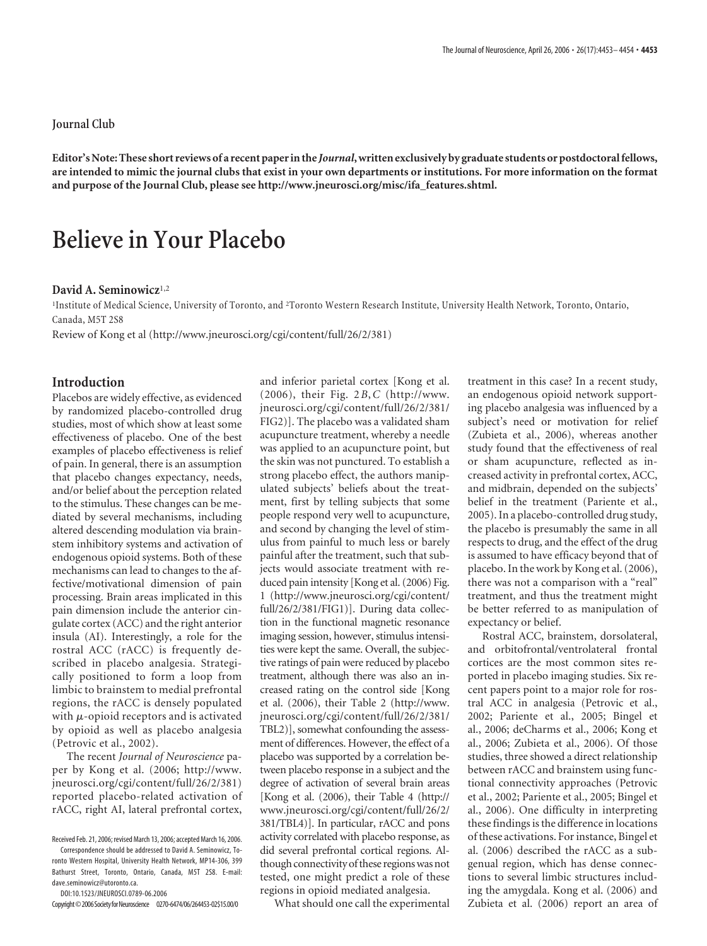**Editor's Note: These short reviews of a recent paperin the** *Journal***,written exclusively by graduate students or postdoctoral fellows, are intended to mimic the journal clubs that exist in your own departments or institutions. For more information on the format and purpose of the Journal Club, please see http://www.jneurosci.org/misc/ifa\_features.shtml.**

## **Believe in Your Placebo**

## **David A. Seminowicz**1,2

<sup>1</sup>Institute of Medical Science, University of Toronto, and <sup>2</sup>Toronto Western Research Institute, University Health Network, Toronto, Ontario, Canada, M5T 2S8

Review of Kong et al (http://www.jneurosci.org/cgi/content/full/26/2/381)

## **Introduction**

Placebos are widely effective, as evidenced by randomized placebo-controlled drug studies, most of which show at least some effectiveness of placebo. One of the best examples of placebo effectiveness is relief of pain. In general, there is an assumption that placebo changes expectancy, needs, and/or belief about the perception related to the stimulus. These changes can be mediated by several mechanisms, including altered descending modulation via brainstem inhibitory systems and activation of endogenous opioid systems. Both of these mechanisms can lead to changes to the affective/motivational dimension of pain processing. Brain areas implicated in this pain dimension include the anterior cingulate cortex (ACC) and the right anterior insula (AI). Interestingly, a role for the rostral ACC (rACC) is frequently described in placebo analgesia. Strategically positioned to form a loop from limbic to brainstem to medial prefrontal regions, the rACC is densely populated with  $\mu$ -opioid receptors and is activated by opioid as well as placebo analgesia (Petrovic et al., 2002).

The recent *Journal of Neuroscience* paper by Kong et al. (2006; http://www. jneurosci.org/cgi/content/full/26/2/381) reported placebo-related activation of rACC, right AI, lateral prefrontal cortex,

DOI:10.1523/JNEUROSCI.0789-06.2006

and inferior parietal cortex [Kong et al. (2006), their Fig. 2*B*,*C* (http://www. jneurosci.org/cgi/content/full/26/2/381/ FIG2)]. The placebo was a validated sham acupuncture treatment, whereby a needle was applied to an acupuncture point, but the skin was not punctured. To establish a strong placebo effect, the authors manipulated subjects' beliefs about the treatment, first by telling subjects that some people respond very well to acupuncture, and second by changing the level of stimulus from painful to much less or barely painful after the treatment, such that subjects would associate treatment with reduced pain intensity [Kong et al. (2006) Fig. 1 (http://www.jneurosci.org/cgi/content/ full/26/2/381/FIG1)]. During data collection in the functional magnetic resonance imaging session, however, stimulus intensities were kept the same. Overall, the subjective ratings of pain were reduced by placebo treatment, although there was also an increased rating on the control side [Kong et al. (2006), their Table 2 (http://www. jneurosci.org/cgi/content/full/26/2/381/ TBL2)], somewhat confounding the assessment of differences. However, the effect of a placebo was supported by a correlation between placebo response in a subject and the degree of activation of several brain areas [Kong et al. (2006), their Table 4 (http:// www.jneurosci.org/cgi/content/full/26/2/ 381/TBL4)]. In particular, rACC and pons activity correlated with placebo response, as did several prefrontal cortical regions. Although connectivity of these regionswas not tested, one might predict a role of these regions in opioid mediated analgesia.

What should one call the experimental

treatment in this case? In a recent study, an endogenous opioid network supporting placebo analgesia was influenced by a subject's need or motivation for relief (Zubieta et al., 2006), whereas another study found that the effectiveness of real or sham acupuncture, reflected as increased activity in prefrontal cortex, ACC, and midbrain, depended on the subjects' belief in the treatment (Pariente et al., 2005). In a placebo-controlled drug study, the placebo is presumably the same in all respects to drug, and the effect of the drug is assumed to have efficacy beyond that of placebo. In the work by Kong et al. (2006), there was not a comparison with a "real" treatment, and thus the treatment might be better referred to as manipulation of expectancy or belief.

Rostral ACC, brainstem, dorsolateral, and orbitofrontal/ventrolateral frontal cortices are the most common sites reported in placebo imaging studies. Six recent papers point to a major role for rostral ACC in analgesia (Petrovic et al., 2002; Pariente et al., 2005; Bingel et al., 2006; deCharms et al., 2006; Kong et al., 2006; Zubieta et al., 2006). Of those studies, three showed a direct relationship between rACC and brainstem using functional connectivity approaches (Petrovic et al., 2002; Pariente et al., 2005; Bingel et al., 2006). One difficulty in interpreting these findings is the difference in locations of these activations. For instance, Bingel et al. (2006) described the rACC as a subgenual region, which has dense connections to several limbic structures including the amygdala. Kong et al. (2006) and Zubieta et al. (2006) report an area of

Received Feb. 21, 2006; revised March 13, 2006; accepted March 16, 2006.

Correspondence should be addressed to David A. Seminowicz, Toronto Western Hospital, University Health Network, MP14-306, 399 Bathurst Street, Toronto, Ontario, Canada, M5T 2S8. E-mail: dave.seminowicz@utoronto.ca.

Copyright©2006SocietyforNeuroscience 0270-6474/06/264453-02\$15.00/0